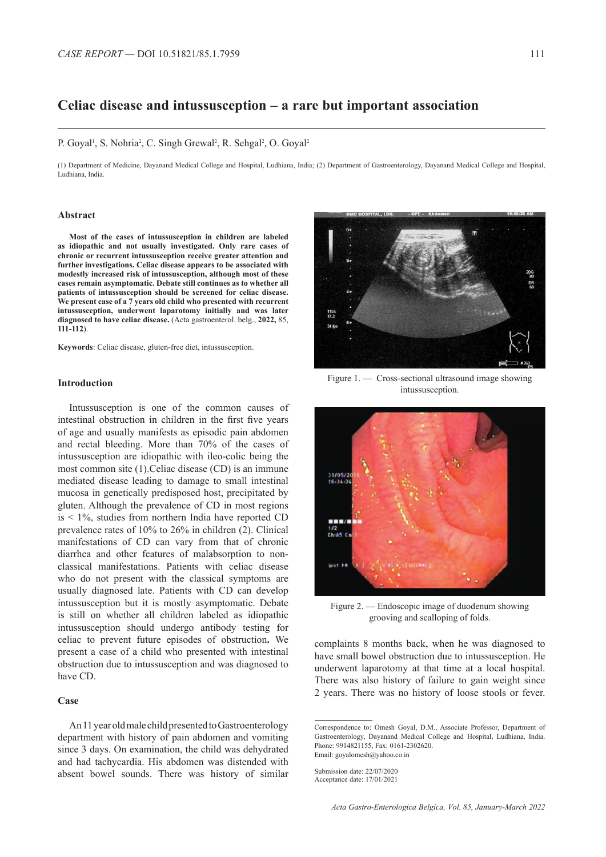# **Celiac disease and intussusception – a rare but important association**

#### P. Goyal<sup>1</sup>, S. Nohria<sup>2</sup>, C. Singh Grewal<sup>2</sup>, R. Sehgal<sup>2</sup>, O. Goyal<sup>2</sup>

(1) Department of Medicine, Dayanand Medical College and Hospital, Ludhiana, India; (2) Department of Gastroenterology, Dayanand Medical College and Hospital, Ludhiana, India.

## **Abstract**

**Most of the cases of intussusception in children are labeled as idiopathic and not usually investigated. Only rare cases of chronic or recurrent intussusception receive greater attention and further investigations. Celiac disease appears to be associated with modestly increased risk of intussusception, although most of these cases remain asymptomatic. Debate still continues as to whether all patients of intussusception should be screened for celiac disease. We present case of a 7 years old child who presented with recurrent intussusception, underwent laparotomy initially and was later diagnosed to have celiac disease.** (Acta gastroenterol. belg., **2022,** 85, **111-112**).

**Keywords**: Celiac disease, gluten-free diet, intussusception.

# **Introduction**

Intussusception is one of the common causes of intestinal obstruction in children in the first five years of age and usually manifests as episodic pain abdomen and rectal bleeding. More than 70% of the cases of intussusception are idiopathic with ileo-colic being the most common site (1).Celiac disease (CD) is an immune mediated disease leading to damage to small intestinal mucosa in genetically predisposed host, precipitated by gluten. Although the prevalence of CD in most regions is < 1%, studies from northern India have reported CD prevalence rates of 10% to 26% in children (2). Clinical manifestations of CD can vary from that of chronic diarrhea and other features of malabsorption to nonclassical manifestations. Patients with celiac disease who do not present with the classical symptoms are usually diagnosed late. Patients with CD can develop intussusception but it is mostly asymptomatic. Debate is still on whether all children labeled as idiopathic intussusception should undergo antibody testing for celiac to prevent future episodes of obstruction**.** We present a case of a child who presented with intestinal obstruction due to intussusception and was diagnosed to have CD.

## **Case**

An 11 year old male child presented to Gastroenterology department with history of pain abdomen and vomiting since 3 days. On examination, the child was dehydrated and had tachycardia. His abdomen was distended with absent bowel sounds. There was history of similar



Figure 1. — Cross-sectional ultrasound image showing intussusception.



Figure 2. — Endoscopic image of duodenum showing grooving and scalloping of folds.

complaints 8 months back, when he was diagnosed to have small bowel obstruction due to intussusception. He underwent laparotomy at that time at a local hospital. There was also history of failure to gain weight since 2 years. There was no history of loose stools or fever.

Correspondence to: Omesh Goyal, D.M., Associate Professor, Department of Gastroenterology, Dayanand Medical College and Hospital, Ludhiana, India. Phone: 9914821155, Fax: 0161-2302620. Email: goyalomesh@yahoo.co.in

Submission date: 22/07/2020 Acceptance date: 17/01/2021